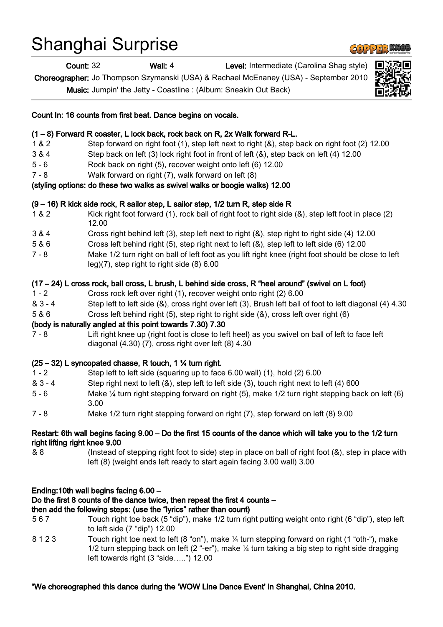# Shanghai Surprise

Count: 32 Wall: 4 Level: Intermediate (Carolina Shag style)

Choreographer: Jo Thompson Szymanski (USA) & Rachael McEnaney (USA) - September 2010

Music: Jumpin' the Jetty - Coastline : (Album: Sneakin Out Back)



## (1 – 8) Forward R coaster, L lock back, rock back on R, 2x Walk forward R-L.

- 1 & 2 Step forward on right foot (1), step left next to right (&), step back on right foot (2) 12.00
- 3 & 4 Step back on left (3) lock right foot in front of left (&), step back on left (4) 12.00
- 5 6 Rock back on right (5), recover weight onto left (6) 12.00
- 7 8 Walk forward on right (7), walk forward on left (8)

### (styling options: do these two walks as swivel walks or boogie walks) 12.00

## (9 – 16) R kick side rock, R sailor step, L sailor step, 1/2 turn R, step side R

- 1 & 2 Kick right foot forward (1), rock ball of right foot to right side (&), step left foot in place (2) 12.00
- 3 & 4 Cross right behind left (3), step left next to right (&), step right to right side (4) 12.00
- 5 & 6 Cross left behind right (5), step right next to left (&), step left to left side (6) 12.00
- 7 8 Make 1/2 turn right on ball of left foot as you lift right knee (right foot should be close to left leg)(7), step right to right side (8) 6.00

## (17 – 24) L cross rock, ball cross, L brush, L behind side cross, R "heel around" (swivel on L foot)

- 1 2 Cross rock left over right (1), recover weight onto right (2) 6.00
- & 3 4 Step left to left side (&), cross right over left (3), Brush left ball of foot to left diagonal (4) 4.30
- 5 & 6 Cross left behind right (5), step right to right side (&), cross left over right (6)

#### (body is naturally angled at this point towards 7.30) 7.30

7 - 8 Lift right knee up (right foot is close to left heel) as you swivel on ball of left to face left diagonal (4.30) (7), cross right over left (8) 4.30

## $(25 - 32)$  L syncopated chasse, R touch, 1  $\frac{1}{4}$  turn right.

- 1 2 Step left to left side (squaring up to face 6.00 wall) (1), hold (2) 6.00
- & 3 4 Step right next to left (&), step left to left side (3), touch right next to left (4) 600
- 5 6 Make ¼ turn right stepping forward on right (5), make 1/2 turn right stepping back on left (6) 3.00
- 7 8 Make 1/2 turn right stepping forward on right (7), step forward on left (8) 9.00

#### Restart: 6th wall begins facing 9.00 – Do the first 15 counts of the dance which will take you to the 1/2 turn right lifting right knee 9.00

& 8 (Instead of stepping right foot to side) step in place on ball of right foot (&), step in place with left (8) (weight ends left ready to start again facing 3.00 wall) 3.00

#### Ending:10th wall begins facing 6.00 –

#### Do the first 8 counts of the dance twice, then repeat the first 4 counts –

## then add the following steps: (use the "lyrics" rather than count)

- 5 6 7 Touch right toe back (5 "dip"), make 1/2 turn right putting weight onto right (6 "dip"), step left to left side (7 "dip") 12.00
- 8 1 2 3 Touch right toe next to left (8 "on"), make ¼ turn stepping forward on right (1 "oth-"), make 1/2 turn stepping back on left (2 "-er"), make  $\frac{1}{4}$  turn taking a big step to right side dragging left towards right (3 "side…..") 12.00

#### "We choreographed this dance during the 'WOW Line Dance Event' in Shanghai, China 2010.

**COPPER KNOE**